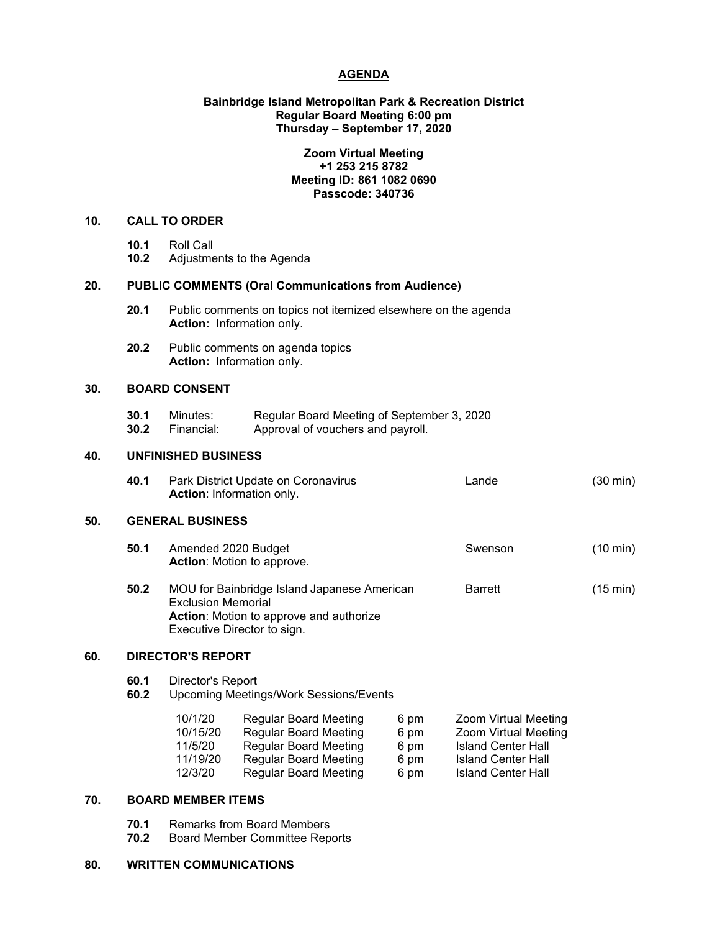## **AGENDA**

# **Bainbridge Island Metropolitan Park & Recreation District Regular Board Meeting 6:00 pm Thursday – September 17, 2020**

# **Zoom Virtual Meeting +1 253 215 8782 Meeting ID: 861 1082 0690 Passcode: 340736**

#### **10. CALL TO ORDER**

| 10.1 | Roll Call |
|------|-----------|
|      |           |

**10.2** Adjustments to the Agenda

# **20. PUBLIC COMMENTS (Oral Communications from Audience)**

- **20.1** Public comments on topics not itemized elsewhere on the agenda **Action:** Information only.
- **20.2** Public comments on agenda topics **Action:** Information only.

# **30. BOARD CONSENT**

**30.1** Minutes: Regular Board Meeting of September 3, 2020<br>**30.2** Financial: Approval of vouchers and pavroll. Approval of vouchers and payroll.

# **40. UNFINISHED BUSINESS**

**40.1** Park District Update on Coronavirus Lande (30 min) **Action**: Information only.

# **50. GENERAL BUSINESS**

- **50.1** Amended 2020 Budget **Swenson** Swenson (10 min) **Action**: Motion to approve.
- **50.2** MOU for Bainbridge Island Japanese American Barrett (15 min) Exclusion Memorial **Action**: Motion to approve and authorize Executive Director to sign.

# **60. DIRECTOR'S REPORT**

# **60.1** Director's Report

**60.2** Upcoming Meetings/Work Sessions/Events

| 10/1/20  | <b>Regular Board Meeting</b> | 6 pm | Zoom Virtual Meeting        |
|----------|------------------------------|------|-----------------------------|
| 10/15/20 | <b>Regular Board Meeting</b> | 6 pm | <b>Zoom Virtual Meeting</b> |
| 11/5/20  | <b>Regular Board Meeting</b> | 6 pm | <b>Island Center Hall</b>   |
| 11/19/20 | <b>Regular Board Meeting</b> | 6 pm | <b>Island Center Hall</b>   |
| 12/3/20  | <b>Regular Board Meeting</b> | 6 pm | <b>Island Center Hall</b>   |

# **70. BOARD MEMBER ITEMS**

- **70.1** Remarks from Board Members
- **70.2** Board Member Committee Reports

#### **80. WRITTEN COMMUNICATIONS**